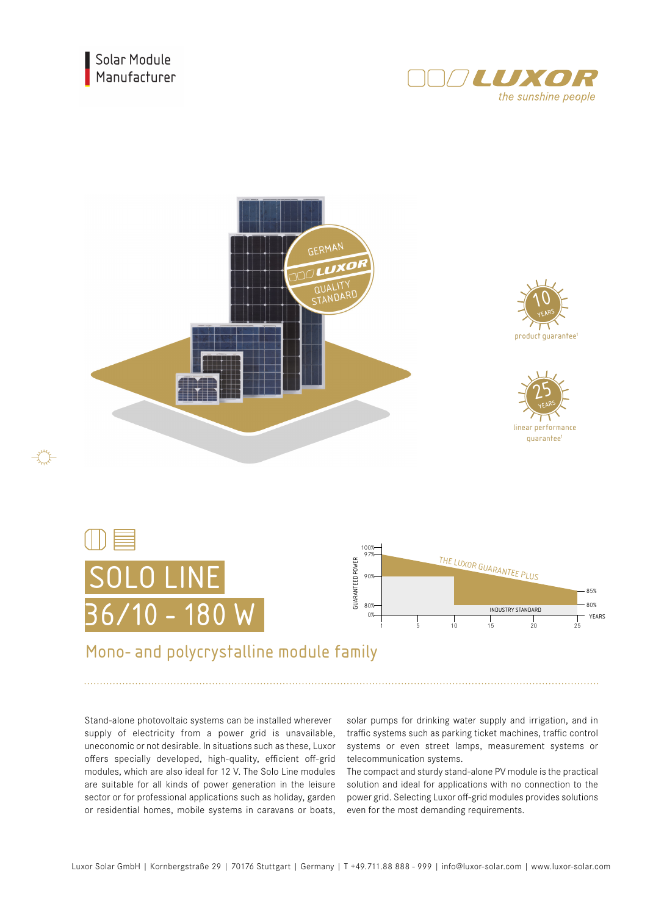



## Mono- and polycrystalline module family

Stand-alone photovoltaic systems can be installed wherever supply of electricity from a power grid is unavailable, uneconomic or not desirable. In situations such as these, Luxor offers specially developed, high-quality, efficient off-grid modules, which are also ideal for 12 V. The Solo Line modules are suitable for all kinds of power generation in the leisure sector or for professional applications such as holiday, garden or residential homes, mobile systems in caravans or boats,

solar pumps for drinking water supply and irrigation, and in traffic systems such as parking ticket machines, traffic control systems or even street lamps, measurement systems or telecommunication systems.

The compact and sturdy stand-alone PV module is the practical solution and ideal for applications with no connection to the power grid. Selecting Luxor off-grid modules provides solutions even for the most demanding requirements.